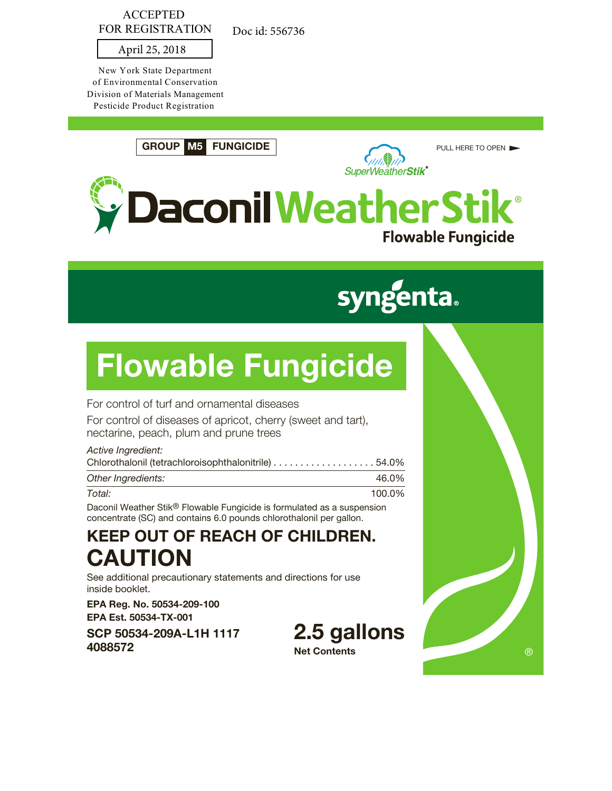#### ACCEPTED FOR REGISTRATION

Doc id: 556736

#### April 25, 2018

New York State Department of Environmental Conservation Division of Materials Management Pesticide Product Registration

**GROUP M5 FUNGICIDE**



PULL HERE TO OPEN



# **syngenta.**

# **Flowable Fungicide**

For control of turf and ornamental diseases

For control of diseases of apricot, cherry (sweet and tart), nectarine, peach, plum and prune trees

#### *Active Ingredient:*

| Chlorothalonil (tetrachloroisophthalonitrile) 54.0% |        |
|-----------------------------------------------------|--------|
| Other Ingredients:                                  | 46.0%  |
| Total:                                              | 100.0% |

Daconil Weather Stik® Flowable Fungicide is formulated as a suspension concentrate (SC) and contains 6.0 pounds chlorothalonil per gallon.

## **KEEP OUT OF REACH OF CHILDREN. CAUTION**

See additional precautionary statements and directions for use inside booklet.

**EPA Reg. No. 50534-209-100 EPA Est. 50534-TX-001**

**SCP 50534-209A-L1H 1117 4088572**

**2.5 gallons Net Contents**

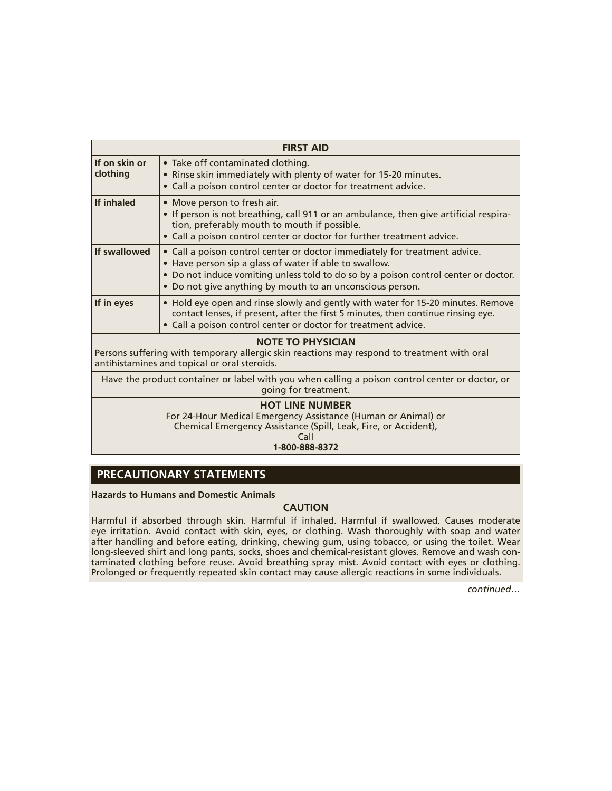| <b>FIRST AID</b>                                                                                                                                                        |                                                                                                                                                                                                                                                                                          |  |  |
|-------------------------------------------------------------------------------------------------------------------------------------------------------------------------|------------------------------------------------------------------------------------------------------------------------------------------------------------------------------------------------------------------------------------------------------------------------------------------|--|--|
| If on skin or<br>clothing                                                                                                                                               | • Take off contaminated clothing.<br>• Rinse skin immediately with plenty of water for 15-20 minutes.<br>• Call a poison control center or doctor for treatment advice.                                                                                                                  |  |  |
| <b>If inhaled</b>                                                                                                                                                       | • Move person to fresh air.<br>• If person is not breathing, call 911 or an ambulance, then give artificial respira-<br>tion, preferably mouth to mouth if possible.<br>• Call a poison control center or doctor for further treatment advice.                                           |  |  |
| If swallowed                                                                                                                                                            | • Call a poison control center or doctor immediately for treatment advice.<br>• Have person sip a glass of water if able to swallow.<br>• Do not induce vomiting unless told to do so by a poison control center or doctor.<br>• Do not give anything by mouth to an unconscious person. |  |  |
| If in eyes                                                                                                                                                              | • Hold eye open and rinse slowly and gently with water for 15-20 minutes. Remove<br>contact lenses, if present, after the first 5 minutes, then continue rinsing eye.<br>• Call a poison control center or doctor for treatment advice.                                                  |  |  |
| <b>NOTE TO PHYSICIAN</b><br>Persons suffering with temporary allergic skin reactions may respond to treatment with oral<br>antihistamines and topical or oral steroids. |                                                                                                                                                                                                                                                                                          |  |  |
| Have the product container or label with you when calling a poison control center or doctor, or<br>going for treatment.                                                 |                                                                                                                                                                                                                                                                                          |  |  |
| <b>HOT LINE NUMBER</b><br>For 24-Hour Medical Emergency Assistance (Human or Animal) or                                                                                 |                                                                                                                                                                                                                                                                                          |  |  |

Chemical Emergency Assistance (Spill, Leak, Fire, or Accident),

Call

**1-800-888-8372**

#### **PRECAUTIONARY STATEMENTS**

**Hazards to Humans and Domestic Animals**

#### **CAUTION**

Harmful if absorbed through skin. Harmful if inhaled. Harmful if swallowed. Causes moderate eye irritation. Avoid contact with skin, eyes, or clothing. Wash thoroughly with soap and water after handling and before eating, drinking, chewing gum, using tobacco, or using the toilet. Wear long-sleeved shirt and long pants, socks, shoes and chemical-resistant gloves. Remove and wash contaminated clothing before reuse. Avoid breathing spray mist. Avoid contact with eyes or clothing. Prolonged or frequently repeated skin contact may cause allergic reactions in some individuals.

*continued…*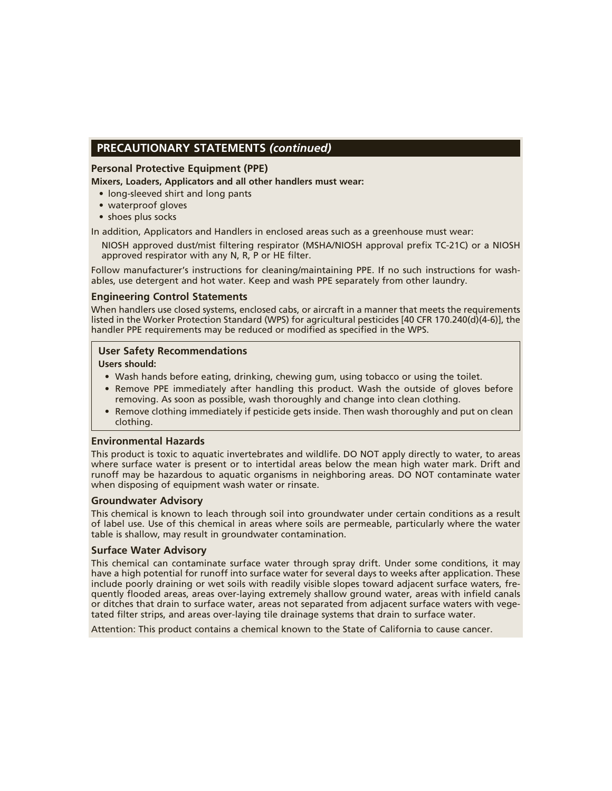#### **PRECAUTIONARY STATEMENTS** *(continued)*

#### **Personal Protective Equipment (PPE)**

**Mixers, Loaders, Applicators and all other handlers must wear:**

- long-sleeved shirt and long pants
- waterproof gloves
- shoes plus socks

In addition, Applicators and Handlers in enclosed areas such as a greenhouse must wear:

NIOSH approved dust/mist filtering respirator (MSHA/NIOSH approval prefix TC-21C) or a NIOSH approved respirator with any N, R, P or HE filter.

Follow manufacturer's instructions for cleaning/maintaining PPE. If no such instructions for washables, use detergent and hot water. Keep and wash PPE separately from other laundry.

#### **Engineering Control Statements**

When handlers use closed systems, enclosed cabs, or aircraft in a manner that meets the requirements listed in the Worker Protection Standard (WPS) for agricultural pesticides [40 CFR 170.240(d)(4-6)], the handler PPE requirements may be reduced or modified as specified in the WPS.

#### **User Safety Recommendations**

#### **Users should:**

- Wash hands before eating, drinking, chewing gum, using tobacco or using the toilet.
- Remove PPE immediately after handling this product. Wash the outside of gloves before removing. As soon as possible, wash thoroughly and change into clean clothing.
- Remove clothing immediately if pesticide gets inside. Then wash thoroughly and put on clean clothing.

#### **Environmental Hazards**

This product is toxic to aquatic invertebrates and wildlife. DO NOT apply directly to water, to areas where surface water is present or to intertidal areas below the mean high water mark. Drift and runoff may be hazardous to aquatic organisms in neighboring areas. DO NOT contaminate water when disposing of equipment wash water or rinsate.

#### **Groundwater Advisory**

This chemical is known to leach through soil into groundwater under certain conditions as a result of label use. Use of this chemical in areas where soils are permeable, particularly where the water table is shallow, may result in groundwater contamination.

#### **Surface Water Advisory**

This chemical can contaminate surface water through spray drift. Under some conditions, it may have a high potential for runoff into surface water for several days to weeks after application. These include poorly draining or wet soils with readily visible slopes toward adjacent surface waters, frequently flooded areas, areas over-laying extremely shallow ground water, areas with infield canals or ditches that drain to surface water, areas not separated from adjacent surface waters with vegetated filter strips, and areas over-laying tile drainage systems that drain to surface water.

Attention: This product contains a chemical known to the State of California to cause cancer.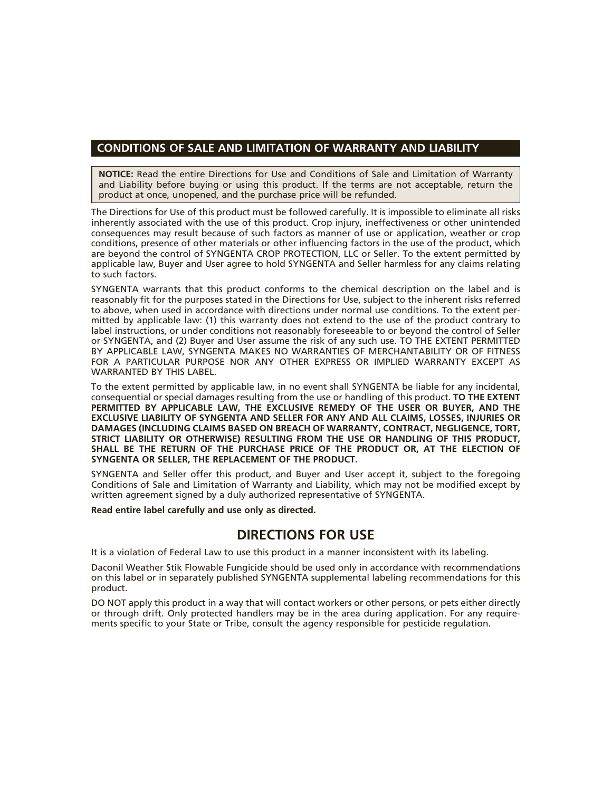#### **CONDITIONS OF SALE AND LIMITATION OF WARRANTY AND LIABILITY**

**NOTICE:** Read the entire Directions for Use and Conditions of Sale and Limitation of Warranty and Liability before buying or using this product. If the terms are not acceptable, return the product at once, unopened, and the purchase price will be refunded.

The Directions for Use of this product must be followed carefully. It is impossible to eliminate all risks inherently associated with the use of this product. Crop injury, ineffectiveness or other unintended consequences may result because of such factors as manner of use or application, weather or crop conditions, presence of other materials or other influencing factors in the use of the product, which are beyond the control of SYNGENTA CROP PROTECTION, LLC or Seller. To the extent permitted by applicable law, Buyer and User agree to hold SYNGENTA and Seller harmless for any claims relating to such factors.

SYNGENTA warrants that this product conforms to the chemical description on the label and is reasonably fit for the purposes stated in the Directions for Use, subject to the inherent risks referred to above, when used in accordance with directions under normal use conditions. To the extent permitted by applicable law: (1) this warranty does not extend to the use of the product contrary to label instructions, or under conditions not reasonably foreseeable to or beyond the control of Seller or SYNGENTA, and (2) Buyer and User assume the risk of any such use. TO THE EXTENT PERMITTED BY APPLICABLE LAW, SYNGENTA MAKES NO WARRANTIES OF MERCHANTABILITY OR OF FITNESS FOR A PARTICULAR PURPOSE NOR ANY OTHER EXPRESS OR IMPLIED WARRANTY EXCEPT AS WARRANTED BY THIS LABEL.

To the extent permitted by applicable law, in no event shall SYNGENTA be liable for any incidental, consequential or special damages resulting from the use or handling of this product. **TO THE EXTENT PERMITTED BY APPLICABLE LAW, THE EXCLUSIVE REMEDY OF THE USER OR BUYER, AND THE EXCLUSIVE LIABILITY OF SYNGENTA AND SELLER FOR ANY AND ALL CLAIMS, LOSSES, INJURIES OR DAMAGES (INCLUDING CLAIMS BASED ON BREACH OF WARRANTY, CONTRACT, NEGLIGENCE, TORT, STRICT LIABILITY OR OTHERWISE) RESULTING FROM THE USE OR HANDLING OF THIS PRODUCT, SHALL BE THE RETURN OF THE PURCHASE PRICE OF THE PRODUCT OR, AT THE ELECTION OF SYNGENTA OR SELLER, THE REPLACEMENT OF THE PRODUCT.**

SYNGENTA and Seller offer this product, and Buyer and User accept it, subject to the foregoing Conditions of Sale and Limitation of Warranty and Liability, which may not be modified except by written agreement signed by a duly authorized representative of SYNGENTA.

**Read entire label carefully and use only as directed.**

#### **DIRECTIONS FOR USE**

It is a violation of Federal Law to use this product in a manner inconsistent with its labeling.

Daconil Weather Stik Flowable Fungicide should be used only in accordance with recommendations on this label or in separately published SYNGENTA supplemental labeling recommendations for this product.

DO NOT apply this product in a way that will contact workers or other persons, or pets either directly or through drift. Only protected handlers may be in the area during application. For any requirements specific to your State or Tribe, consult the agency responsible for pesticide regulation.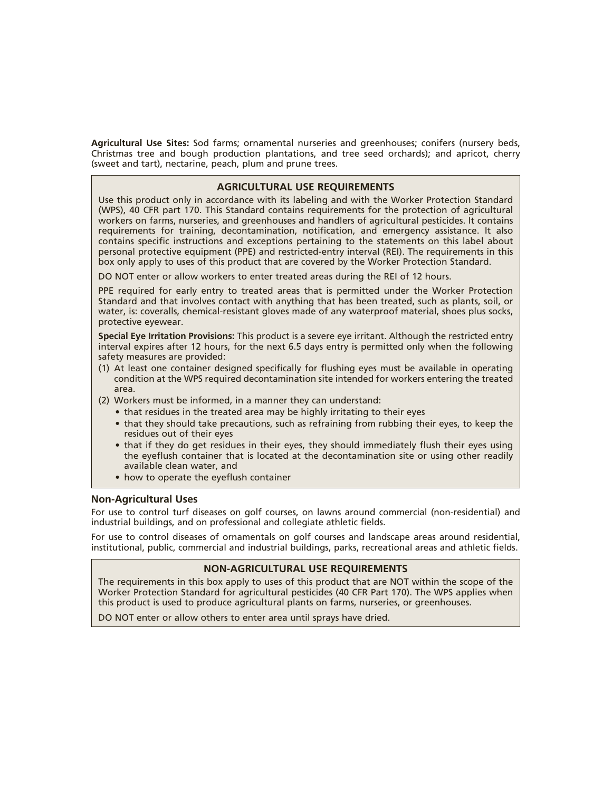**Agricultural Use Sites:** Sod farms; ornamental nurseries and greenhouses; conifers (nursery beds, Christmas tree and bough production plantations, and tree seed orchards); and apricot, cherry (sweet and tart), nectarine, peach, plum and prune trees.

#### **AGRICULTURAL USE REQUIREMENTS**

Use this product only in accordance with its labeling and with the Worker Protection Standard (WPS), 40 CFR part 170. This Standard contains requirements for the protection of agricultural workers on farms, nurseries, and greenhouses and handlers of agricultural pesticides. It contains requirements for training, decontamination, notification, and emergency assistance. It also contains specific instructions and exceptions pertaining to the statements on this label about personal protective equipment (PPE) and restricted-entry interval (REI). The requirements in this box only apply to uses of this product that are covered by the Worker Protection Standard.

DO NOT enter or allow workers to enter treated areas during the REI of 12 hours.

PPE required for early entry to treated areas that is permitted under the Worker Protection Standard and that involves contact with anything that has been treated, such as plants, soil, or water, is: coveralls, chemical-resistant gloves made of any waterproof material, shoes plus socks, protective eyewear.

**Special Eye Irritation Provisions:** This product is a severe eye irritant. Although the restricted entry interval expires after 12 hours, for the next 6.5 days entry is permitted only when the following safety measures are provided:

- (1) At least one container designed specifically for flushing eyes must be available in operating condition at the WPS required decontamination site intended for workers entering the treated area.
- (2) Workers must be informed, in a manner they can understand:
	- that residues in the treated area may be highly irritating to their eyes
	- that they should take precautions, such as refraining from rubbing their eyes, to keep the residues out of their eyes
	- that if they do get residues in their eyes, they should immediately flush their eyes using the eyeflush container that is located at the decontamination site or using other readily available clean water, and
	- how to operate the eyeflush container

#### **Non-Agricultural Uses**

For use to control turf diseases on golf courses, on lawns around commercial (non-residential) and industrial buildings, and on professional and collegiate athletic fields.

For use to control diseases of ornamentals on golf courses and landscape areas around residential, institutional, public, commercial and industrial buildings, parks, recreational areas and athletic fields.

#### **NON-AGRICULTURAL USE REQUIREMENTS**

The requirements in this box apply to uses of this product that are NOT within the scope of the Worker Protection Standard for agricultural pesticides (40 CFR Part 170). The WPS applies when this product is used to produce agricultural plants on farms, nurseries, or greenhouses.

DO NOT enter or allow others to enter area until sprays have dried.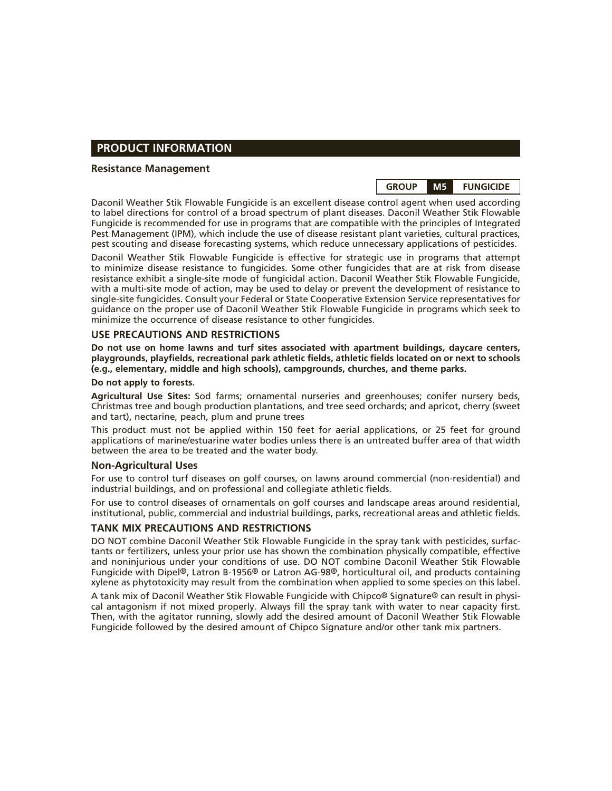#### **PRODUCT INFORMATION**

#### **Resistance Management**



Daconil Weather Stik Flowable Fungicide is an excellent disease control agent when used according to label directions for control of a broad spectrum of plant diseases. Daconil Weather Stik Flowable Fungicide is recommended for use in programs that are compatible with the principles of Integrated Pest Management (IPM), which include the use of disease resistant plant varieties, cultural practices, pest scouting and disease forecasting systems, which reduce unnecessary applications of pesticides.

Daconil Weather Stik Flowable Fungicide is effective for strategic use in programs that attempt to minimize disease resistance to fungicides. Some other fungicides that are at risk from disease resistance exhibit a single-site mode of fungicidal action. Daconil Weather Stik Flowable Fungicide, with a multi-site mode of action, may be used to delay or prevent the development of resistance to single-site fungicides. Consult your Federal or State Cooperative Extension Service representatives for guidance on the proper use of Daconil Weather Stik Flowable Fungicide in programs which seek to minimize the occurrence of disease resistance to other fungicides.

#### **USE PRECAUTIONS AND RESTRICTIONS**

**Do not use on home lawns and turf sites associated with apartment buildings, daycare centers, playgrounds, playfields, recreational park athletic fields, athletic fields located on or next to schools (e.g., elementary, middle and high schools), campgrounds, churches, and theme parks.**

#### **Do not apply to forests.**

**Agricultural Use Sites:** Sod farms; ornamental nurseries and greenhouses; conifer nursery beds, Christmas tree and bough production plantations, and tree seed orchards; and apricot, cherry (sweet and tart), nectarine, peach, plum and prune trees

This product must not be applied within 150 feet for aerial applications, or 25 feet for ground applications of marine/estuarine water bodies unless there is an untreated buffer area of that width between the area to be treated and the water body.

#### **Non-Agricultural Uses**

For use to control turf diseases on golf courses, on lawns around commercial (non-residential) and industrial buildings, and on professional and collegiate athletic fields.

For use to control diseases of ornamentals on golf courses and landscape areas around residential, institutional, public, commercial and industrial buildings, parks, recreational areas and athletic fields.

#### **TANK MIX PRECAUTIONS AND RESTRICTIONS**

DO NOT combine Daconil Weather Stik Flowable Fungicide in the spray tank with pesticides, surfactants or fertilizers, unless your prior use has shown the combination physically compatible, effective and noninjurious under your conditions of use. DO NOT combine Daconil Weather Stik Flowable Fungicide with Dipel®, Latron B-1956® or Latron AG-98®, horticultural oil, and products containing xylene as phytotoxicity may result from the combination when applied to some species on this label.

A tank mix of Daconil Weather Stik Flowable Fungicide with Chipco® Signature® can result in physical antagonism if not mixed properly. Always fill the spray tank with water to near capacity first. Then, with the agitator running, slowly add the desired amount of Daconil Weather Stik Flowable Fungicide followed by the desired amount of Chipco Signature and/or other tank mix partners.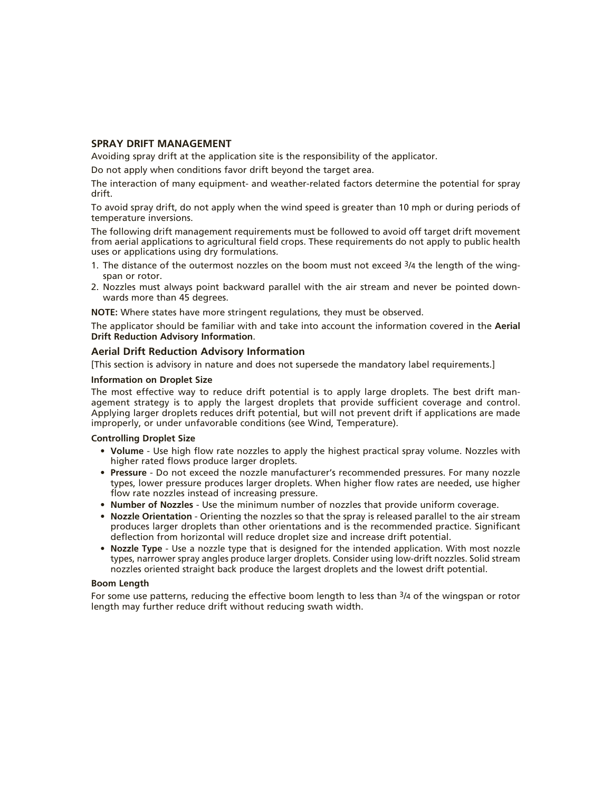#### **SPRAY DRIFT MANAGEMENT**

Avoiding spray drift at the application site is the responsibility of the applicator.

Do not apply when conditions favor drift beyond the target area.

The interaction of many equipment- and weather-related factors determine the potential for spray drift.

To avoid spray drift, do not apply when the wind speed is greater than 10 mph or during periods of temperature inversions.

The following drift management requirements must be followed to avoid off target drift movement from aerial applications to agricultural field crops. These requirements do not apply to public health uses or applications using dry formulations.

- 1. The distance of the outermost nozzles on the boom must not exceed  $3/4$  the length of the wingspan or rotor.
- 2. Nozzles must always point backward parallel with the air stream and never be pointed downwards more than 45 degrees.

**NOTE:** Where states have more stringent regulations, they must be observed.

The applicator should be familiar with and take into account the information covered in the **Aerial Drift Reduction Advisory Information**.

#### **Aerial Drift Reduction Advisory Information**

[This section is advisory in nature and does not supersede the mandatory label requirements.]

#### **Information on Droplet Size**

The most effective way to reduce drift potential is to apply large droplets. The best drift management strategy is to apply the largest droplets that provide sufficient coverage and control. Applying larger droplets reduces drift potential, but will not prevent drift if applications are made improperly, or under unfavorable conditions (see Wind, Temperature).

#### **Controlling Droplet Size**

- **Volume** Use high flow rate nozzles to apply the highest practical spray volume. Nozzles with higher rated flows produce larger droplets.
- **Pressure** Do not exceed the nozzle manufacturer's recommended pressures. For many nozzle types, lower pressure produces larger droplets. When higher flow rates are needed, use higher flow rate nozzles instead of increasing pressure.
- **Number of Nozzles**  Use the minimum number of nozzles that provide uniform coverage.
- **Nozzle Orientation** Orienting the nozzles so that the spray is released parallel to the air stream produces larger droplets than other orientations and is the recommended practice. Significant deflection from horizontal will reduce droplet size and increase drift potential.
- **Nozzle Type** Use a nozzle type that is designed for the intended application. With most nozzle types, narrower spray angles produce larger droplets. Consider using low-drift nozzles. Solid stream nozzles oriented straight back produce the largest droplets and the lowest drift potential.

#### **Boom Length**

For some use patterns, reducing the effective boom length to less than  $\frac{3}{4}$  of the wingspan or rotor length may further reduce drift without reducing swath width.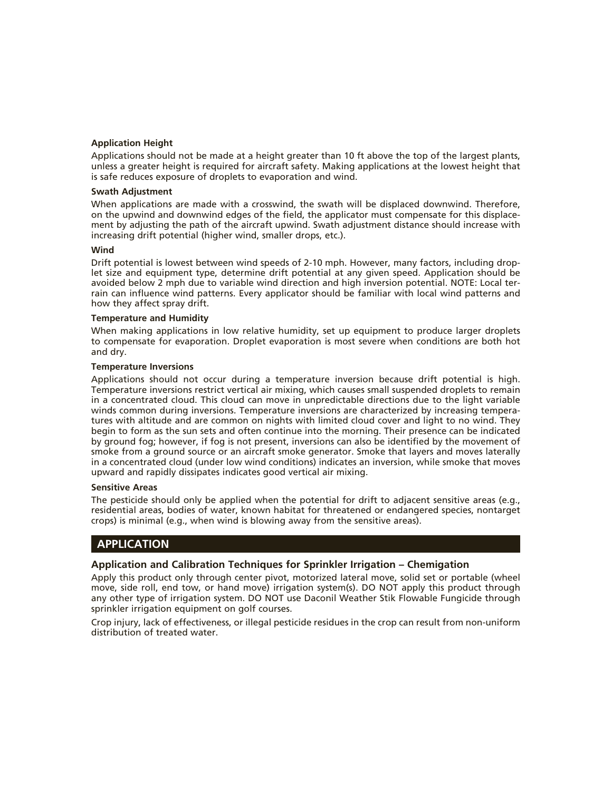#### **Application Height**

Applications should not be made at a height greater than 10 ft above the top of the largest plants, unless a greater height is required for aircraft safety. Making applications at the lowest height that is safe reduces exposure of droplets to evaporation and wind.

#### **Swath Adjustment**

When applications are made with a crosswind, the swath will be displaced downwind. Therefore, on the upwind and downwind edges of the field, the applicator must compensate for this displacement by adjusting the path of the aircraft upwind. Swath adjustment distance should increase with increasing drift potential (higher wind, smaller drops, etc.).

#### **Wind**

Drift potential is lowest between wind speeds of 2-10 mph. However, many factors, including droplet size and equipment type, determine drift potential at any given speed. Application should be avoided below 2 mph due to variable wind direction and high inversion potential. NOTE: Local terrain can influence wind patterns. Every applicator should be familiar with local wind patterns and how they affect spray drift.

#### **Temperature and Humidity**

When making applications in low relative humidity, set up equipment to produce larger droplets to compensate for evaporation. Droplet evaporation is most severe when conditions are both hot and dry.

#### **Temperature Inversions**

Applications should not occur during a temperature inversion because drift potential is high. Temperature inversions restrict vertical air mixing, which causes small suspended droplets to remain in a concentrated cloud. This cloud can move in unpredictable directions due to the light variable winds common during inversions. Temperature inversions are characterized by increasing temperatures with altitude and are common on nights with limited cloud cover and light to no wind. They begin to form as the sun sets and often continue into the morning. Their presence can be indicated by ground fog; however, if fog is not present, inversions can also be identified by the movement of smoke from a ground source or an aircraft smoke generator. Smoke that layers and moves laterally in a concentrated cloud (under low wind conditions) indicates an inversion, while smoke that moves upward and rapidly dissipates indicates good vertical air mixing.

#### **Sensitive Areas**

The pesticide should only be applied when the potential for drift to adjacent sensitive areas (e.g., residential areas, bodies of water, known habitat for threatened or endangered species, nontarget crops) is minimal (e.g., when wind is blowing away from the sensitive areas).

#### **APPLICATION**

#### **Application and Calibration Techniques for Sprinkler Irrigation – Chemigation**

Apply this product only through center pivot, motorized lateral move, solid set or portable (wheel move, side roll, end tow, or hand move) irrigation system(s). DO NOT apply this product through any other type of irrigation system. DO NOT use Daconil Weather Stik Flowable Fungicide through sprinkler irrigation equipment on golf courses.

Crop injury, lack of effectiveness, or illegal pesticide residues in the crop can result from non-uniform distribution of treated water.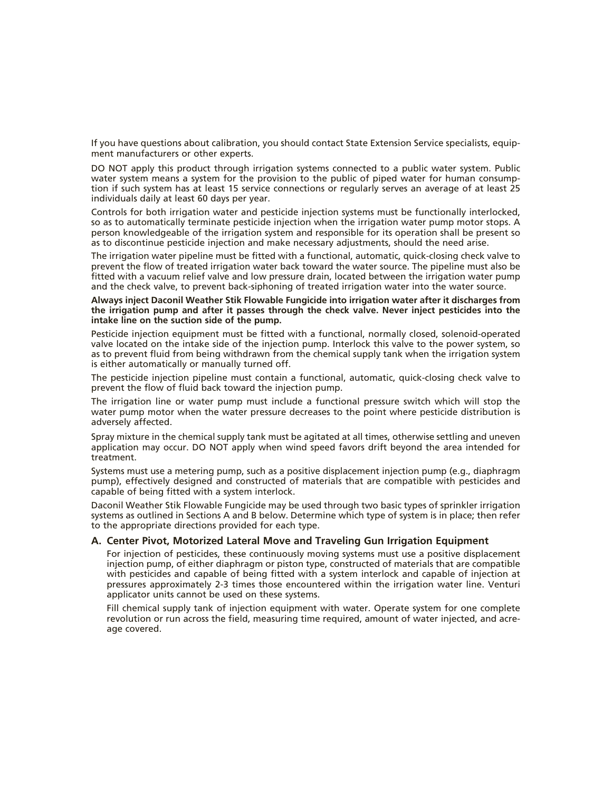If you have questions about calibration, you should contact State Extension Service specialists, equipment manufacturers or other experts.

DO NOT apply this product through irrigation systems connected to a public water system. Public water system means a system for the provision to the public of piped water for human consumption if such system has at least 15 service connections or regularly serves an average of at least 25 individuals daily at least 60 days per year.

Controls for both irrigation water and pesticide injection systems must be functionally interlocked, so as to automatically terminate pesticide injection when the irrigation water pump motor stops. A person knowledgeable of the irrigation system and responsible for its operation shall be present so as to discontinue pesticide injection and make necessary adjustments, should the need arise.

The irrigation water pipeline must be fitted with a functional, automatic, quick-closing check valve to prevent the flow of treated irrigation water back toward the water source. The pipeline must also be fitted with a vacuum relief valve and low pressure drain, located between the irrigation water pump and the check valve, to prevent back-siphoning of treated irrigation water into the water source.

#### **Always inject Daconil Weather Stik Flowable Fungicide into irrigation water after it discharges from the irrigation pump and after it passes through the check valve. Never inject pesticides into the intake line on the suction side of the pump.**

Pesticide injection equipment must be fitted with a functional, normally closed, solenoid-operated valve located on the intake side of the injection pump. Interlock this valve to the power system, so as to prevent fluid from being withdrawn from the chemical supply tank when the irrigation system is either automatically or manually turned off.

The pesticide injection pipeline must contain a functional, automatic, quick-closing check valve to prevent the flow of fluid back toward the injection pump.

The irrigation line or water pump must include a functional pressure switch which will stop the water pump motor when the water pressure decreases to the point where pesticide distribution is adversely affected.

Spray mixture in the chemical supply tank must be agitated at all times, otherwise settling and uneven application may occur. DO NOT apply when wind speed favors drift beyond the area intended for treatment.

Systems must use a metering pump, such as a positive displacement injection pump (e.g., diaphragm pump), effectively designed and constructed of materials that are compatible with pesticides and capable of being fitted with a system interlock.

Daconil Weather Stik Flowable Fungicide may be used through two basic types of sprinkler irrigation systems as outlined in Sections A and B below. Determine which type of system is in place; then refer to the appropriate directions provided for each type.

#### **A. Center Pivot, Motorized Lateral Move and Traveling Gun Irrigation Equipment**

 For injection of pesticides, these continuously moving systems must use a positive displacement injection pump, of either diaphragm or piston type, constructed of materials that are compatible with pesticides and capable of being fitted with a system interlock and capable of injection at pressures approximately 2-3 times those encountered within the irrigation water line. Venturi applicator units cannot be used on these systems.

 Fill chemical supply tank of injection equipment with water. Operate system for one complete revolution or run across the field, measuring time required, amount of water injected, and acreage covered.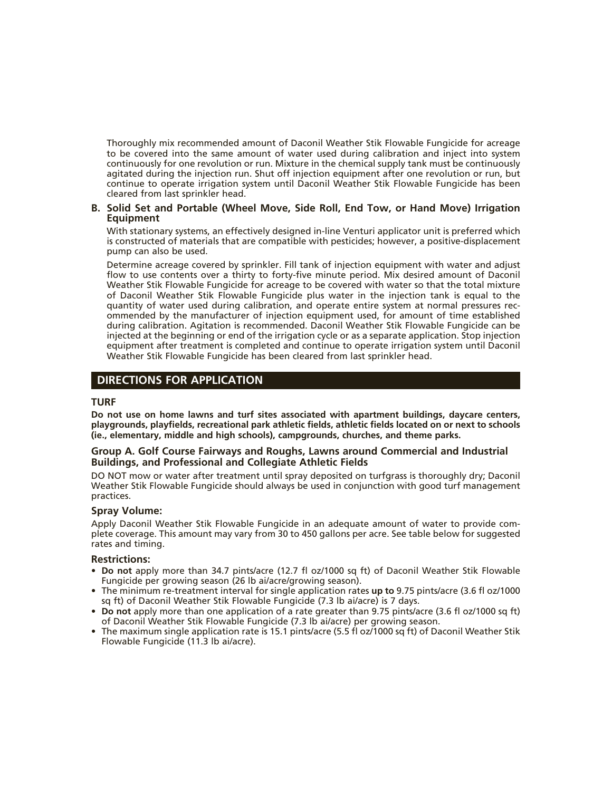Thoroughly mix recommended amount of Daconil Weather Stik Flowable Fungicide for acreage to be covered into the same amount of water used during calibration and inject into system continuously for one revolution or run. Mixture in the chemical supply tank must be continuously agitated during the injection run. Shut off injection equipment after one revolution or run, but continue to operate irrigation system until Daconil Weather Stik Flowable Fungicide has been cleared from last sprinkler head.

#### **B. Solid Set and Portable (Wheel Move, Side Roll, End Tow, or Hand Move) Irrigation Equipment**

 With stationary systems, an effectively designed in-line Venturi applicator unit is preferred which is constructed of materials that are compatible with pesticides; however, a positive-displacement pump can also be used.

 Determine acreage covered by sprinkler. Fill tank of injection equipment with water and adjust flow to use contents over a thirty to forty-five minute period. Mix desired amount of Daconil Weather Stik Flowable Fungicide for acreage to be covered with water so that the total mixture of Daconil Weather Stik Flowable Fungicide plus water in the injection tank is equal to the quantity of water used during calibration, and operate entire system at normal pressures recommended by the manufacturer of injection equipment used, for amount of time established during calibration. Agitation is recommended. Daconil Weather Stik Flowable Fungicide can be injected at the beginning or end of the irrigation cycle or as a separate application. Stop injection equipment after treatment is completed and continue to operate irrigation system until Daconil Weather Stik Flowable Fungicide has been cleared from last sprinkler head.

#### **DIRECTIONS FOR APPLICATION**

#### **TURF**

**Do not use on home lawns and turf sites associated with apartment buildings, daycare centers, playgrounds, playfields, recreational park athletic fields, athletic fields located on or next to schools (ie., elementary, middle and high schools), campgrounds, churches, and theme parks.**

#### **Group A. Golf Course Fairways and Roughs, Lawns around Commercial and Industrial Buildings, and Professional and Collegiate Athletic Fields**

DO NOT mow or water after treatment until spray deposited on turfgrass is thoroughly dry; Daconil Weather Stik Flowable Fungicide should always be used in conjunction with good turf management practices.

#### **Spray Volume:**

Apply Daconil Weather Stik Flowable Fungicide in an adequate amount of water to provide complete coverage. This amount may vary from 30 to 450 gallons per acre. See table below for suggested rates and timing.

#### **Restrictions:**

- **Do not** apply more than 34.7 pints/acre (12.7 fl oz/1000 sq ft) of Daconil Weather Stik Flowable Fungicide per growing season (26 lb ai/acre/growing season).
- The minimum re-treatment interval for single application rates **up to** 9.75 pints/acre (3.6 fl oz/1000 sq ft) of Daconil Weather Stik Flowable Fungicide (7.3 lb ai/acre) is 7 days.
- **Do not** apply more than one application of a rate greater than 9.75 pints/acre (3.6 fl oz/1000 sq ft) of Daconil Weather Stik Flowable Fungicide (7.3 lb ai/acre) per growing season.
- The maximum single application rate is 15.1 pints/acre (5.5 fl oz/1000 sq ft) of Daconil Weather Stik Flowable Fungicide (11.3 lb ai/acre).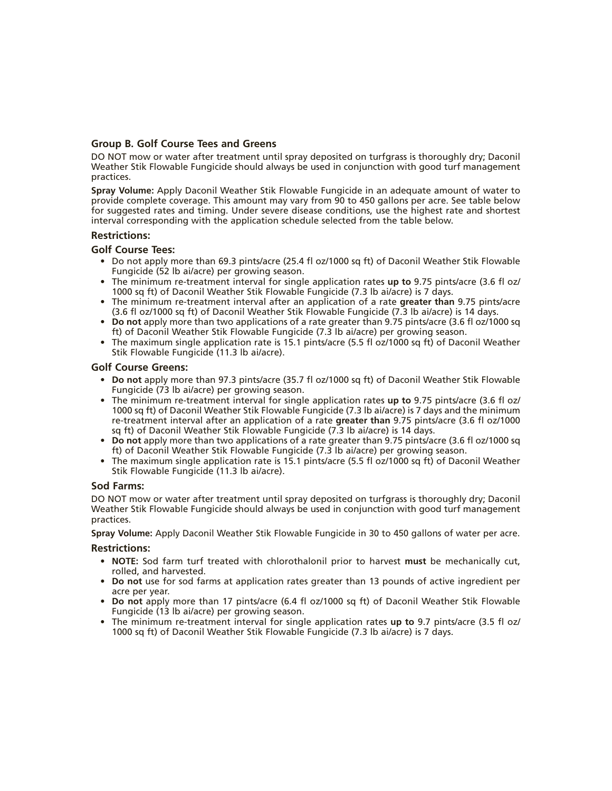#### **Group B. Golf Course Tees and Greens**

DO NOT mow or water after treatment until spray deposited on turfgrass is thoroughly dry; Daconil Weather Stik Flowable Fungicide should always be used in conjunction with good turf management practices.

**Spray Volume:** Apply Daconil Weather Stik Flowable Fungicide in an adequate amount of water to provide complete coverage. This amount may vary from 90 to 450 gallons per acre. See table below for suggested rates and timing. Under severe disease conditions, use the highest rate and shortest interval corresponding with the application schedule selected from the table below.

#### **Restrictions:**

#### **Golf Course Tees:**

- Do not apply more than 69.3 pints/acre (25.4 fl oz/1000 sq ft) of Daconil Weather Stik Flowable Fungicide (52 lb ai/acre) per growing season.
- The minimum re-treatment interval for single application rates **up to** 9.75 pints/acre (3.6 fl oz/ 1000 sq ft) of Daconil Weather Stik Flowable Fungicide (7.3 lb ai/acre) is 7 days.
- The minimum re-treatment interval after an application of a rate **greater than** 9.75 pints/acre (3.6 fl oz/1000 sq ft) of Daconil Weather Stik Flowable Fungicide (7.3 lb ai/acre) is 14 days.
- **Do not** apply more than two applications of a rate greater than 9.75 pints/acre (3.6 fl oz/1000 sq ft) of Daconil Weather Stik Flowable Fungicide (7.3 lb ai/acre) per growing season.
- The maximum single application rate is 15.1 pints/acre (5.5 fl oz/1000 sq ft) of Daconil Weather Stik Flowable Fungicide (11.3 lb ai/acre).

#### **Golf Course Greens:**

- **Do not** apply more than 97.3 pints/acre (35.7 fl oz/1000 sq ft) of Daconil Weather Stik Flowable Fungicide (73 lb ai/acre) per growing season.
- The minimum re-treatment interval for single application rates **up to** 9.75 pints/acre (3.6 fl oz/ 1000 sq ft) of Daconil Weather Stik Flowable Fungicide (7.3 lb ai/acre) is 7 days and the minimum re-treatment interval after an application of a rate **greater than** 9.75 pints/acre (3.6 fl oz/1000 sq ft) of Daconil Weather Stik Flowable Fungicide (7.3 lb ai/acre) is 14 days.
- **Do not** apply more than two applications of a rate greater than 9.75 pints/acre (3.6 fl oz/1000 sq ft) of Daconil Weather Stik Flowable Fungicide (7.3 lb ai/acre) per growing season.
- The maximum single application rate is 15.1 pints/acre (5.5 fl oz/1000 sq ft) of Daconil Weather Stik Flowable Fungicide (11.3 lb ai/acre).

#### **Sod Farms:**

DO NOT mow or water after treatment until spray deposited on turfgrass is thoroughly dry; Daconil Weather Stik Flowable Fungicide should always be used in conjunction with good turf management practices.

**Spray Volume:** Apply Daconil Weather Stik Flowable Fungicide in 30 to 450 gallons of water per acre.

#### **Restrictions:**

- **NOTE:** Sod farm turf treated with chlorothalonil prior to harvest **must** be mechanically cut, rolled, and harvested.
- **Do not** use for sod farms at application rates greater than 13 pounds of active ingredient per acre per year.
- **Do not** apply more than 17 pints/acre (6.4 fl oz/1000 sq ft) of Daconil Weather Stik Flowable Fungicide (13 lb ai/acre) per growing season.
- The minimum re-treatment interval for single application rates **up to** 9.7 pints/acre (3.5 fl oz/ 1000 sq ft) of Daconil Weather Stik Flowable Fungicide (7.3 lb ai/acre) is 7 days.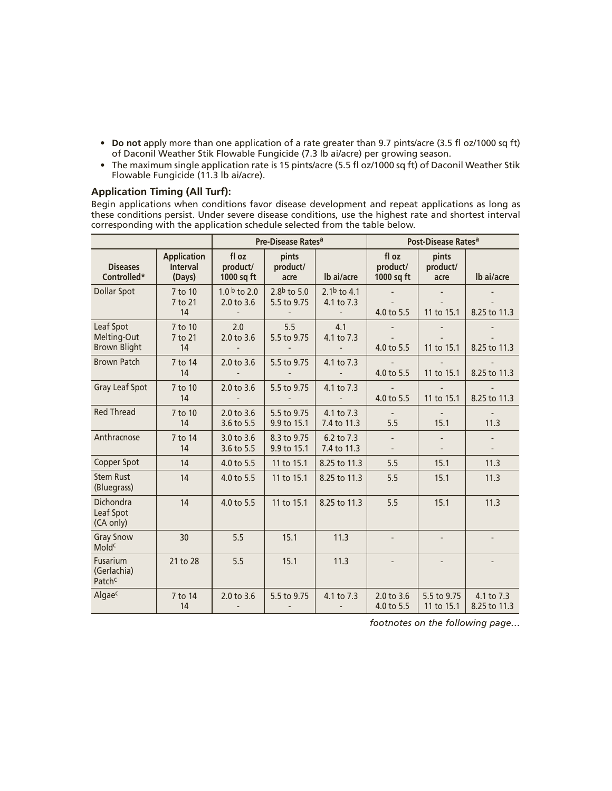- **Do not** apply more than one application of a rate greater than 9.7 pints/acre (3.5 fl oz/1000 sq ft) of Daconil Weather Stik Flowable Fungicide (7.3 lb ai/acre) per growing season.
- The maximum single application rate is 15 pints/acre (5.5 fl oz/1000 sq ft) of Daconil Weather Stik Flowable Fungicide (11.3 lb ai/acre).

#### **Application Timing (All Turf):**

Begin applications when conditions favor disease development and repeat applications as long as these conditions persist. Under severe disease conditions, use the highest rate and shortest interval corresponding with the application schedule selected from the table below.

|                                                 |                                                 | Pre-Disease Rates <sup>a</sup>                |                               |                                               | Post-Disease Rates <sup>a</sup> |                           |                            |
|-------------------------------------------------|-------------------------------------------------|-----------------------------------------------|-------------------------------|-----------------------------------------------|---------------------------------|---------------------------|----------------------------|
| <b>Diseases</b><br>Controlled*                  | <b>Application</b><br><b>Interval</b><br>(Days) | fl oz<br>product/<br>1000 sq ft               | pints<br>product/<br>acre     | lb ai/acre                                    | fl oz<br>product/<br>1000 sq ft | pints<br>product/<br>acre | Ib ai/acre                 |
| Dollar Spot                                     | 7 to 10<br>7 to 21<br>14                        | 1.0 $b$ to 2.0<br>2.0 to 3.6                  | 2.8 $b$ to 5.0<br>5.5 to 9.75 | 2.1 $b$ to 4.1<br>4.1 to 7.3                  | 4.0 to 5.5                      | 11 to 15.1                | 8.25 to 11.3               |
| Leaf Spot<br>Melting-Out<br><b>Brown Blight</b> | 7 to 10<br>7 to 21<br>14                        | 2.0<br>2.0 to 3.6<br>$\overline{\phantom{a}}$ | 5.5<br>5.5 to 9.75            | 4.1<br>4.1 to 7.3<br>$\overline{\phantom{0}}$ | 4.0 to 5.5                      | 11 to 15.1                | 8.25 to 11.3               |
| <b>Brown Patch</b>                              | 7 to 14<br>14                                   | $2.0$ to $3.6$                                | 5.5 to 9.75                   | 4.1 to 7.3                                    | 4.0 to 5.5                      | 11 to 15.1                | 8.25 to 11.3               |
| Gray Leaf Spot                                  | 7 to 10<br>14                                   | 2.0 to 3.6                                    | 5.5 to 9.75                   | 4.1 to 7.3                                    | 4.0 to 5.5                      | 11 to 15.1                | 8.25 to 11.3               |
| <b>Red Thread</b>                               | 7 to 10<br>14                                   | 2.0 to 3.6<br>3.6 to 5.5                      | 5.5 to 9.75<br>9.9 to 15.1    | 4.1 to 7.3<br>7.4 to 11.3                     | 5.5                             | 15.1                      | 11.3                       |
| Anthracnose                                     | 7 to 14<br>14                                   | 3.0 to 3.6<br>3.6 to 5.5                      | 8.3 to 9.75<br>9.9 to 15.1    | 6.2 to 7.3<br>7.4 to 11.3                     | $\qquad \qquad \blacksquare$    | $\overline{\phantom{a}}$  |                            |
| Copper Spot                                     | 14                                              | 4.0 to 5.5                                    | 11 to 15.1                    | 8.25 to 11.3                                  | 5.5                             | 15.1                      | 11.3                       |
| <b>Stem Rust</b><br>(Bluegrass)                 | 14                                              | 4.0 to 5.5                                    | 11 to 15.1                    | 8.25 to 11.3                                  | 5.5                             | 15.1                      | 11.3                       |
| Dichondra<br>Leaf Spot<br>(CA only)             | 14                                              | 4.0 to 5.5                                    | 11 to 15.1                    | 8.25 to 11.3                                  | 5.5                             | 15.1                      | 11.3                       |
| <b>Gray Snow</b><br>Moldc                       | 30                                              | 5.5                                           | 15.1                          | 11.3                                          |                                 |                           |                            |
| Fusarium<br>(Gerlachia)<br>Patch <sup>c</sup>   | 21 to 28                                        | 5.5                                           | 15.1                          | 11.3                                          |                                 |                           |                            |
| Algaec                                          | 7 to 14<br>14                                   | 2.0 to 3.6<br>$\overline{\phantom{a}}$        | 5.5 to 9.75                   | 4.1 to 7.3<br>$\qquad \qquad \blacksquare$    | 2.0 to 3.6<br>4.0 to 5.5        | 5.5 to 9.75<br>11 to 15.1 | 4.1 to 7.3<br>8.25 to 11.3 |

*footnotes on the following page…*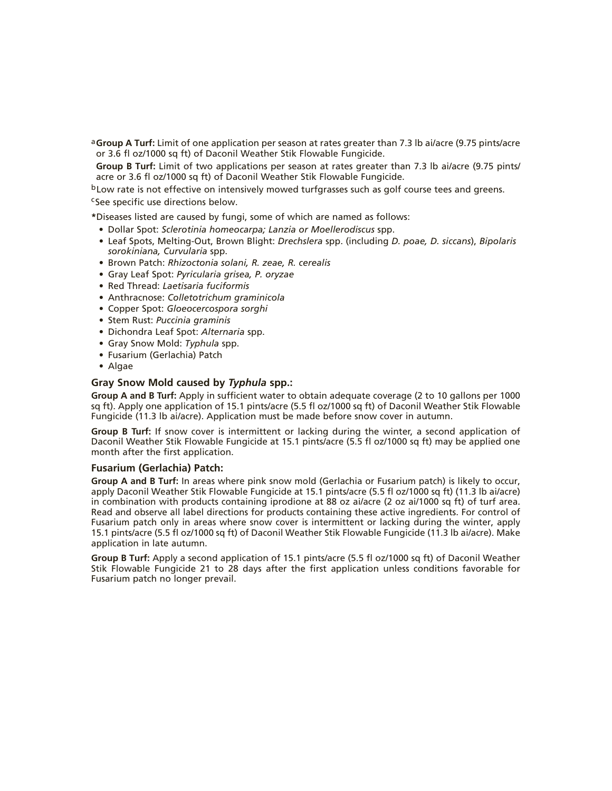a**Group A Turf:** Limit of one application per season at rates greater than 7.3 lb ai/acre (9.75 pints/acre or 3.6 fl oz/1000 sq ft) of Daconil Weather Stik Flowable Fungicide.

Group B Turf: Limit of two applications per season at rates greater than 7.3 lb ai/acre (9.75 pints/ acre or 3.6 fl oz/1000 sq ft) of Daconil Weather Stik Flowable Fungicide.

bLow rate is not effective on intensively mowed turfgrasses such as golf course tees and greens.

cSee specific use directions below.

**\***Diseases listed are caused by fungi, some of which are named as follows:

- Dollar Spot: *Sclerotinia homeocarpa; Lanzia or Moellerodiscus* spp.
- Leaf Spots, Melting-Out, Brown Blight: *Drechslera* spp. (including *D. poae, D. siccans*), *Bipolaris sorokiniana, Curvularia* spp.
- Brown Patch: *Rhizoctonia solani, R. zeae, R. cerealis*
- Gray Leaf Spot: *Pyricularia grisea, P. oryzae*
- Red Thread: *Laetisaria fuciformis*
- Anthracnose: *Colletotrichum graminicola*
- Copper Spot: *Gloeocercospora sorghi*
- Stem Rust: *Puccinia graminis*
- Dichondra Leaf Spot: *Alternaria* spp.
- Gray Snow Mold: *Typhula* spp.
- Fusarium (Gerlachia) Patch
- Algae

#### **Gray Snow Mold caused by** *Typhula* **spp.:**

**Group A and B Turf:** Apply in sufficient water to obtain adequate coverage (2 to 10 gallons per 1000 sq ft). Apply one application of 15.1 pints/acre (5.5 fl oz/1000 sq ft) of Daconil Weather Stik Flowable Fungicide (11.3 lb ai/acre). Application must be made before snow cover in autumn.

**Group B Turf:** If snow cover is intermittent or lacking during the winter, a second application of Daconil Weather Stik Flowable Fungicide at 15.1 pints/acre (5.5 fl oz/1000 sq ft) may be applied one month after the first application.

#### **Fusarium (Gerlachia) Patch:**

**Group A and B Turf:** In areas where pink snow mold (Gerlachia or Fusarium patch) is likely to occur, apply Daconil Weather Stik Flowable Fungicide at 15.1 pints/acre (5.5 fl oz/1000 sq ft) (11.3 lb ai/acre) in combination with products containing iprodione at 88 oz ai/acre (2 oz ai/1000 sq ft) of turf area. Read and observe all label directions for products containing these active ingredients. For control of Fusarium patch only in areas where snow cover is intermittent or lacking during the winter, apply 15.1 pints/acre (5.5 fl oz/1000 sq ft) of Daconil Weather Stik Flowable Fungicide (11.3 lb ai/acre). Make application in late autumn.

**Group B Turf:** Apply a second application of 15.1 pints/acre (5.5 fl oz/1000 sq ft) of Daconil Weather Stik Flowable Fungicide 21 to 28 days after the first application unless conditions favorable for Fusarium patch no longer prevail.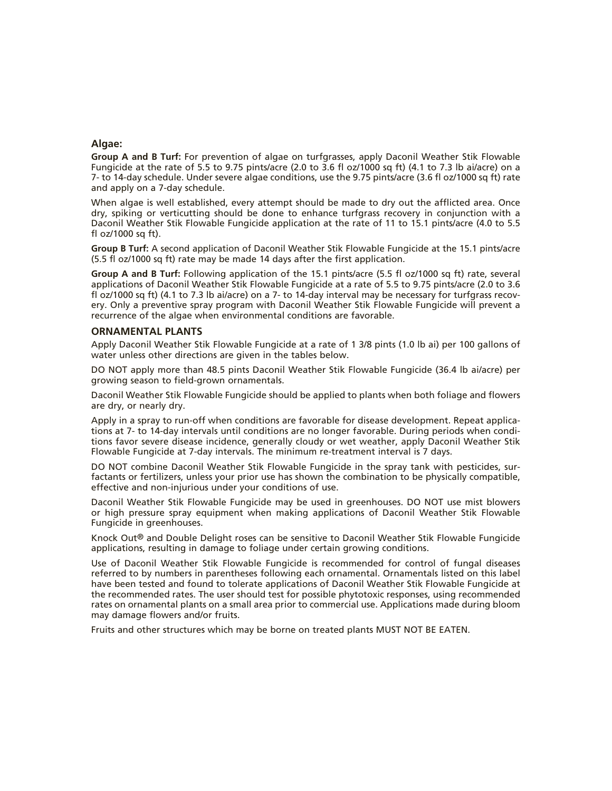#### **Algae:**

**Group A and B Turf:** For prevention of algae on turfgrasses, apply Daconil Weather Stik Flowable Fungicide at the rate of 5.5 to 9.75 pints/acre (2.0 to 3.6 fl oz/1000 sq ft) (4.1 to 7.3 lb ai/acre) on a 7- to 14-day schedule. Under severe algae conditions, use the 9.75 pints/acre (3.6 fl oz/1000 sq ft) rate and apply on a 7-day schedule.

When algae is well established, every attempt should be made to dry out the afflicted area. Once dry, spiking or verticutting should be done to enhance turfgrass recovery in conjunction with a Daconil Weather Stik Flowable Fungicide application at the rate of 11 to 15.1 pints/acre (4.0 to 5.5 fl oz/1000 sq ft).

**Group B Turf:** A second application of Daconil Weather Stik Flowable Fungicide at the 15.1 pints/acre (5.5 fl oz/1000 sq ft) rate may be made 14 days after the first application.

**Group A and B Turf:** Following application of the 15.1 pints/acre (5.5 fl oz/1000 sq ft) rate, several applications of Daconil Weather Stik Flowable Fungicide at a rate of 5.5 to 9.75 pints/acre (2.0 to 3.6 fl oz/1000 sq ft) (4.1 to 7.3 lb ai/acre) on a 7- to 14-day interval may be necessary for turfgrass recovery. Only a preventive spray program with Daconil Weather Stik Flowable Fungicide will prevent a recurrence of the algae when environmental conditions are favorable.

#### **ORNAMENTAL PLANTS**

Apply Daconil Weather Stik Flowable Fungicide at a rate of 1 3/8 pints (1.0 lb ai) per 100 gallons of water unless other directions are given in the tables below.

DO NOT apply more than 48.5 pints Daconil Weather Stik Flowable Fungicide (36.4 lb ai/acre) per growing season to field-grown ornamentals.

Daconil Weather Stik Flowable Fungicide should be applied to plants when both foliage and flowers are dry, or nearly dry.

Apply in a spray to run-off when conditions are favorable for disease development. Repeat applications at 7- to 14-day intervals until conditions are no longer favorable. During periods when conditions favor severe disease incidence, generally cloudy or wet weather, apply Daconil Weather Stik Flowable Fungicide at 7-day intervals. The minimum re-treatment interval is 7 days.

DO NOT combine Daconil Weather Stik Flowable Fungicide in the spray tank with pesticides, surfactants or fertilizers, unless your prior use has shown the combination to be physically compatible, effective and non-injurious under your conditions of use.

Daconil Weather Stik Flowable Fungicide may be used in greenhouses. DO NOT use mist blowers or high pressure spray equipment when making applications of Daconil Weather Stik Flowable Fungicide in greenhouses.

Knock Out® and Double Delight roses can be sensitive to Daconil Weather Stik Flowable Fungicide applications, resulting in damage to foliage under certain growing conditions.

Use of Daconil Weather Stik Flowable Fungicide is recommended for control of fungal diseases referred to by numbers in parentheses following each ornamental. Ornamentals listed on this label have been tested and found to tolerate applications of Daconil Weather Stik Flowable Fungicide at the recommended rates. The user should test for possible phytotoxic responses, using recommended rates on ornamental plants on a small area prior to commercial use. Applications made during bloom may damage flowers and/or fruits.

Fruits and other structures which may be borne on treated plants MUST NOT BE EATEN.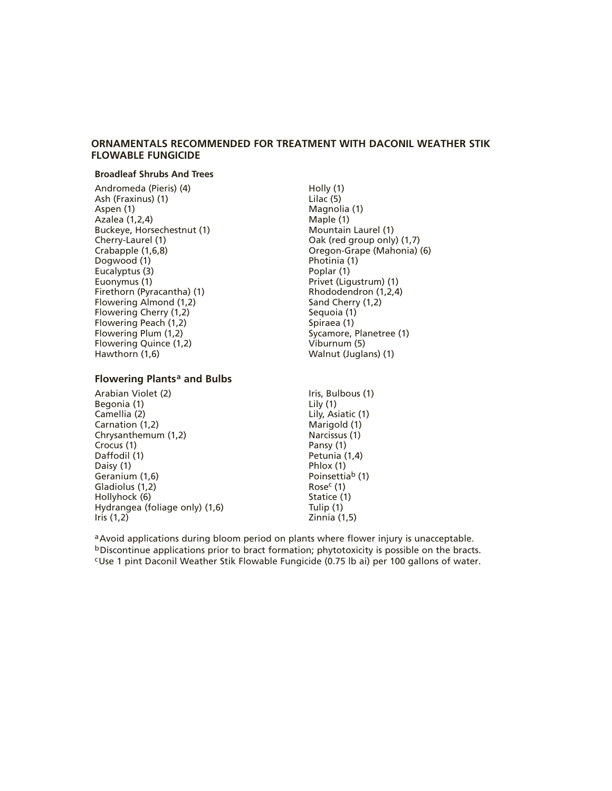#### **ORNAMENTALS RECOMMENDED FOR TREATMENT WITH DACONIL WEATHER STIK FLOWABLE FUNGICIDE**

#### **Broadleaf Shrubs And Trees**

Andromeda (Pieris) (4) Ash (Fraxinus) (1) Aspen (1) Azalea (1,2,4) Buckeye, Horsechestnut (1) Cherry-Laurel (1) Crabapple (1,6,8) Dogwood (1) Eucalyptus (3) Euonymus (1) Firethorn (Pyracantha) (1) Flowering Almond (1,2) Flowering Cherry (1,2) Flowering Peach (1,2) Flowering Plum (1,2) Flowering Quince (1,2) Hawthorn (1,6)

#### **Flowering Plants<sup>a</sup> and Bulbs**

Arabian Violet (2) Begonia (1) Camellia (2) Carnation (1,2) Chrysanthemum (1,2) Crocus (1) Daffodil (1) Daisy (1) Geranium (1,6) Gladiolus (1,2) Hollyhock (6) Hydrangea (foliage only) (1,6) Iris (1,2)

- Holly (1) Lilac (5) Magnolia (1) Maple (1) Mountain Laurel (1) Oak (red group only) (1,7) Oregon-Grape (Mahonia) (6) Photinia (1) Poplar (1) Privet (Ligustrum) (1) Rhododendron (1,2,4) Sand Cherry (1,2) Sequoia (1) Spiraea (1) Sycamore, Planetree (1) Viburnum (5) Walnut (Juglans) (1)
- Iris, Bulbous (1) Lily (1) Lily, Asiatic (1) Marigold (1) Narcissus (1) Pansy (1) Petunia (1,4) Phlox (1) Poinsettiab (1) Rose<sup>c</sup> (1) Statice (1) Tulip (1) Zinnia (1,5)

a Avoid applications during bloom period on plants where flower injury is unacceptable. bDiscontinue applications prior to bract formation; phytotoxicity is possible on the bracts. cUse 1 pint Daconil Weather Stik Flowable Fungicide (0.75 lb ai) per 100 gallons of water.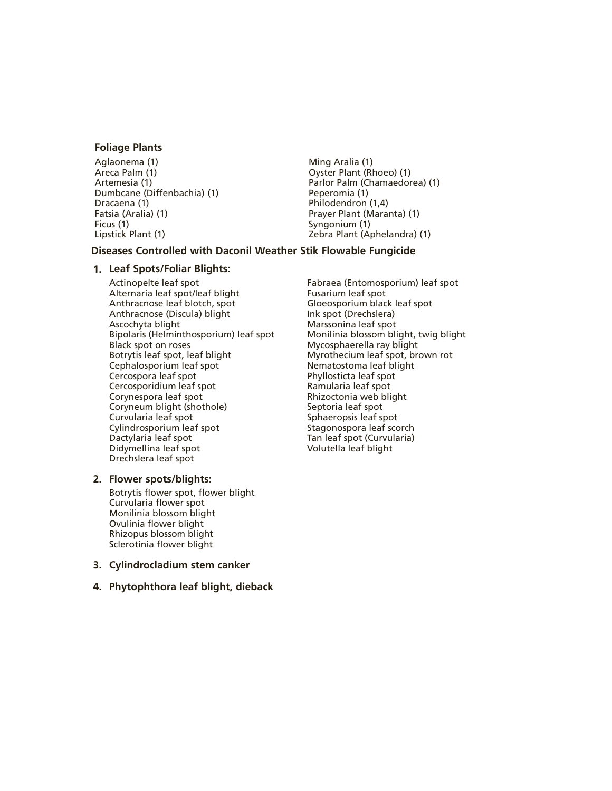#### **Foliage Plants**

Aglaonema (1) Areca Palm (1) Artemesia (1) Dumbcane (Diffenbachia) (1) Dracaena (1) Fatsia (Aralia) (1) Ficus (1) Lipstick Plant (1)

Ming Aralia (1) Oyster Plant (Rhoeo) (1) Parlor Palm (Chamaedorea) (1) Peperomia (1) Philodendron (1,4) Prayer Plant (Maranta) (1) Syngonium (1) Zebra Plant (Aphelandra) (1)

#### **Diseases Controlled with Daconil Weather Stik Flowable Fungicide**

#### **1. Leaf Spots/Foliar Blights:**

Actinopelte leaf spot Alternaria leaf spot/leaf blight Anthracnose leaf blotch, spot Anthracnose (Discula) blight Ascochyta blight Bipolaris (Helminthosporium) leaf spot Black spot on roses Botrytis leaf spot, leaf blight Cephalosporium leaf spot Cercospora leaf spot Cercosporidium leaf spot Corynespora leaf spot Coryneum blight (shothole) Curvularia leaf spot Cylindrosporium leaf spot Dactylaria leaf spot Didymellina leaf spot Drechslera leaf spot

#### **2. Flower spots/blights:**

Botrytis flower spot, flower blight Curvularia flower spot Monilinia blossom blight Ovulinia flower blight Rhizopus blossom blight Sclerotinia flower blight

**3. Cylindrocladium stem canker**

#### **4. Phytophthora leaf blight, dieback**

Fabraea (Entomosporium) leaf spot Fusarium leaf spot Gloeosporium black leaf spot Ink spot (Drechslera) Marssonina leaf spot Monilinia blossom blight, twig blight Mycosphaerella ray blight Myrothecium leaf spot, brown rot Nematostoma leaf blight Phyllosticta leaf spot Ramularia leaf spot Rhizoctonia web blight Septoria leaf spot Sphaeropsis leaf spot Stagonospora leaf scorch Tan leaf spot (Curvularia) Volutella leaf blight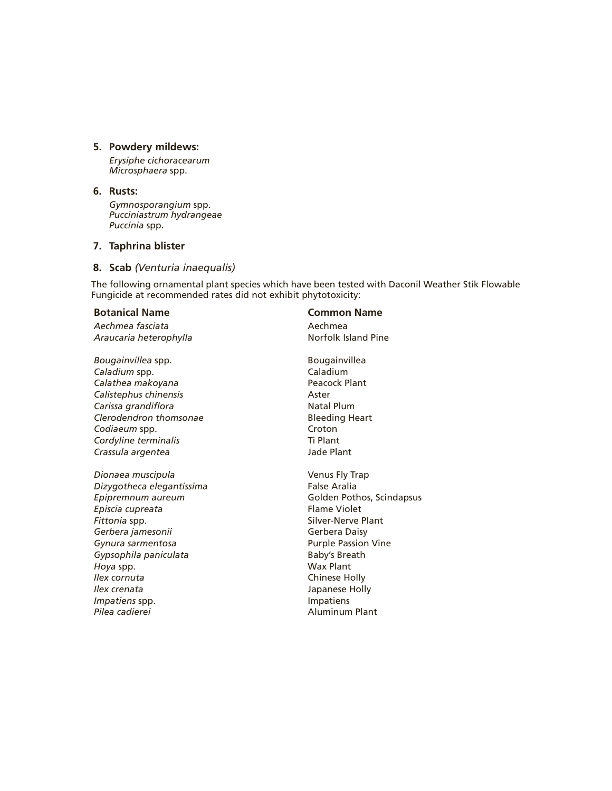#### **5. Powdery mildews:**

*Erysiphe cichoracearum Microsphaera* spp.

#### **6. Rusts:**

*Gymnosporangium* spp. *Pucciniastrum hydrangeae Puccinia* spp.

#### **7. Taphrina blister**

#### **8. Scab** *(Venturia inaequalis)*

The following ornamental plant species which have been tested with Daconil Weather Stik Flowable Fungicide at recommended rates did not exhibit phytotoxicity:

Aechmea fasciata and a control and a control and a Aechmea Araucaria heterophylla **Nortolk Island Pine** 

*Bougainvillea* spp. Bougainvillea *Caladium* spp. Caladium Calathea makoyana **Peacock Plant** *Calistephus chinensis* Aster **Carissa grandiflora Natal Plum** *Clerodendron thomsonae* Bleeding Heart **Codiaeum spp.** Croton Cordyline terminalis Ti Plant *Crassula argentea* Jade Plant

*Dionaea muscipula* Venus Fly Trap *Dizygotheca elegantissima* False Aralia *Epipremnum aureum* Golden Pothos, Scindapsus *Episcia cupreata* Flame Violet **Fittonia spp.** Silver-Nerve Plant *Gerbera jamesonii* Gerbera Daisy **Gynura sarmentosa Purple Passion Vine** Gypsophila paniculata **Baby's Breath** *Hoya* spp. Wax Plant *Ilex cornuta* Chinese Holly *Ilex crenata* Japanese Holly **Impatiens** spp. The contract of the *Impatiens Pilea cadierei* Aluminum Plant

#### **Botanical Name Common Name**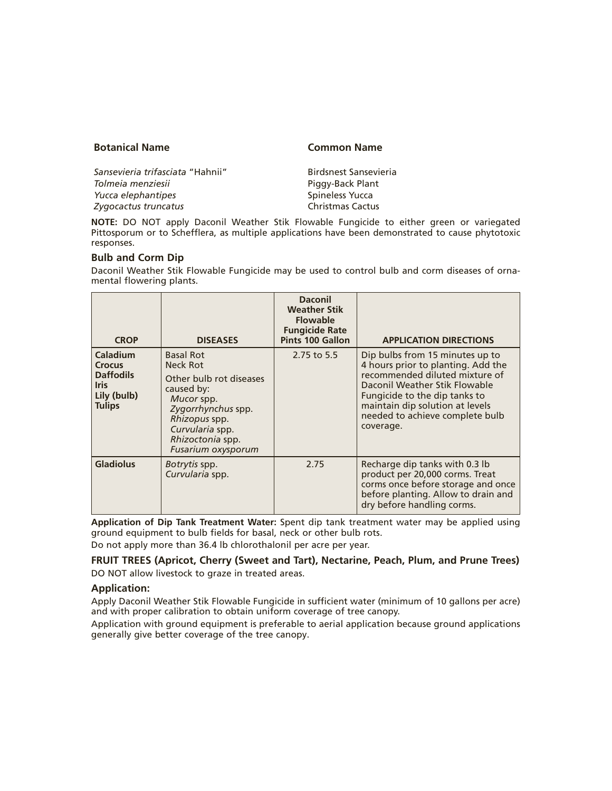#### **Botanical Name Common Name**

*Sansevieria trifasciata* "Hahnii" Birdsnest Sansevieria **Tolmeia menziesii** Piggy-Back Plant *Yucca elephantipes* and *Spineless Yucca Zygocactus truncatus* Christmas Cactus

**NOTE:** DO NOT apply Daconil Weather Stik Flowable Fungicide to either green or variegated Pittosporum or to Schefflera, as multiple applications have been demonstrated to cause phytotoxic responses.

#### **Bulb and Corm Dip**

Daconil Weather Stik Flowable Fungicide may be used to control bulb and corm diseases of ornamental flowering plants.

| <b>CROP</b>                                                                                         | <b>DISEASES</b>                                                                                                                                                                         | <b>Daconil</b><br><b>Weather Stik</b><br><b>Flowable</b><br><b>Fungicide Rate</b><br><b>Pints 100 Gallon</b> | <b>APPLICATION DIRECTIONS</b>                                                                                                                                                                                                                                |
|-----------------------------------------------------------------------------------------------------|-----------------------------------------------------------------------------------------------------------------------------------------------------------------------------------------|--------------------------------------------------------------------------------------------------------------|--------------------------------------------------------------------------------------------------------------------------------------------------------------------------------------------------------------------------------------------------------------|
| <b>Caladium</b><br><b>Crocus</b><br><b>Daffodils</b><br><b>Iris</b><br>Lily (bulb)<br><b>Tulips</b> | <b>Basal Rot</b><br>Neck Rot<br>Other bulb rot diseases<br>caused by:<br>Mucor spp.<br>Zygorrhynchus spp.<br>Rhizopus spp.<br>Curvularia spp.<br>Rhizoctonia spp.<br>Fusarium oxysporum | 2.75 to 5.5                                                                                                  | Dip bulbs from 15 minutes up to<br>4 hours prior to planting. Add the<br>recommended diluted mixture of<br>Daconil Weather Stik Flowable<br>Fungicide to the dip tanks to<br>maintain dip solution at levels<br>needed to achieve complete bulb<br>coverage. |
| <b>Gladiolus</b>                                                                                    | Botrytis spp.<br>Curvularia spp.                                                                                                                                                        | 2.75                                                                                                         | Recharge dip tanks with 0.3 lb<br>product per 20,000 corms. Treat<br>corms once before storage and once<br>before planting. Allow to drain and<br>dry before handling corms.                                                                                 |

**Application of Dip Tank Treatment Water:** Spent dip tank treatment water may be applied using ground equipment to bulb fields for basal, neck or other bulb rots.

Do not apply more than 36.4 lb chlorothalonil per acre per year.

#### **FRUIT TREES (Apricot, Cherry (Sweet and Tart), Nectarine, Peach, Plum, and Prune Trees)** DO NOT allow livestock to graze in treated areas.

#### **Application:**

Apply Daconil Weather Stik Flowable Fungicide in sufficient water (minimum of 10 gallons per acre) and with proper calibration to obtain uniform coverage of tree canopy.

Application with ground equipment is preferable to aerial application because ground applications generally give better coverage of the tree canopy.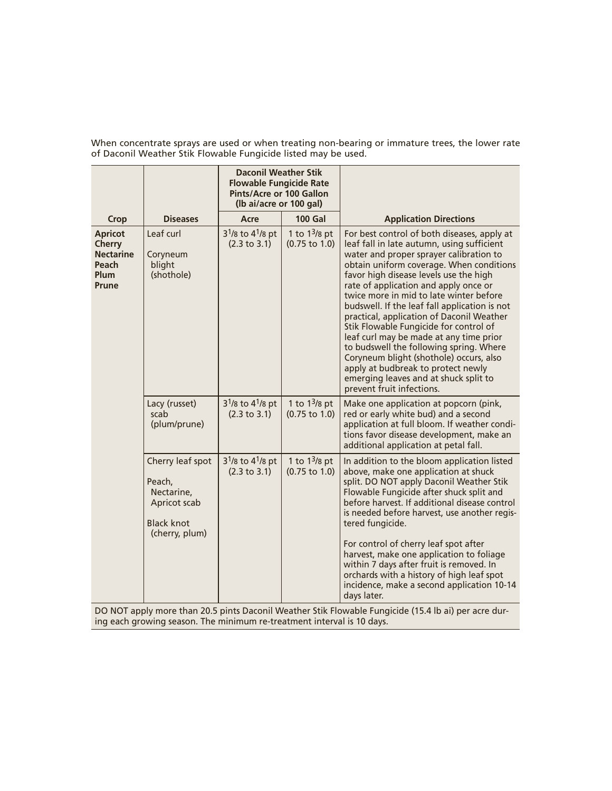|                                                                               |                                                                                                 | <b>Daconil Weather Stik</b><br><b>Flowable Fungicide Rate</b><br>Pints/Acre or 100 Gallon<br>(Ib ai/acre or 100 gal) |                                               |                                                                                                                                                                                                                                                                                                                                                                                                                                                                                                                                                                                                                                                                                                     |
|-------------------------------------------------------------------------------|-------------------------------------------------------------------------------------------------|----------------------------------------------------------------------------------------------------------------------|-----------------------------------------------|-----------------------------------------------------------------------------------------------------------------------------------------------------------------------------------------------------------------------------------------------------------------------------------------------------------------------------------------------------------------------------------------------------------------------------------------------------------------------------------------------------------------------------------------------------------------------------------------------------------------------------------------------------------------------------------------------------|
| <b>Crop</b>                                                                   | <b>Diseases</b>                                                                                 | Acre                                                                                                                 | <b>100 Gal</b>                                | <b>Application Directions</b>                                                                                                                                                                                                                                                                                                                                                                                                                                                                                                                                                                                                                                                                       |
| <b>Apricot</b><br><b>Cherry</b><br><b>Nectarine</b><br>Peach<br>Plum<br>Prune | Leaf curl<br>Coryneum<br>blight<br>(shothole)                                                   | $3^{1}/8$ to $4^{1}/8$ pt<br>(2.3 to 3.1)                                                                            | 1 to $1^3$ /8 pt<br>$(0.75 \text{ to } 1.0)$  | For best control of both diseases, apply at<br>leaf fall in late autumn, using sufficient<br>water and proper sprayer calibration to<br>obtain uniform coverage. When conditions<br>favor high disease levels use the high<br>rate of application and apply once or<br>twice more in mid to late winter before<br>budswell. If the leaf fall application is not<br>practical, application of Daconil Weather<br>Stik Flowable Fungicide for control of<br>leaf curl may be made at any time prior<br>to budswell the following spring. Where<br>Coryneum blight (shothole) occurs, also<br>apply at budbreak to protect newly<br>emerging leaves and at shuck split to<br>prevent fruit infections. |
|                                                                               | Lacy (russet)<br>scab<br>(plum/prune)                                                           | 3 <sup>1</sup> /8 to 4 <sup>1</sup> /8 pt<br>(2.3 to 3.1)                                                            | 1 to $1^{3}/8$ pt<br>$(0.75 \text{ to } 1.0)$ | Make one application at popcorn (pink,<br>red or early white bud) and a second<br>application at full bloom. If weather condi-<br>tions favor disease development, make an<br>additional application at petal fall.                                                                                                                                                                                                                                                                                                                                                                                                                                                                                 |
|                                                                               | Cherry leaf spot<br>Peach,<br>Nectarine,<br>Apricot scab<br><b>Black knot</b><br>(cherry, plum) | $3^{1}/8$ to 4 <sup>1</sup> /8 pt<br>(2.3 to 3.1)                                                                    | 1 to $1^3$ /8 pt<br>$(0.75 \text{ to } 1.0)$  | In addition to the bloom application listed<br>above, make one application at shuck<br>split. DO NOT apply Daconil Weather Stik<br>Flowable Fungicide after shuck split and<br>before harvest. If additional disease control<br>is needed before harvest, use another regis-<br>tered fungicide.                                                                                                                                                                                                                                                                                                                                                                                                    |
| <b>DO NOT.</b>                                                                | a Alegia DO E internacional                                                                     |                                                                                                                      |                                               | For control of cherry leaf spot after<br>harvest, make one application to foliage<br>within 7 days after fruit is removed. In<br>orchards with a history of high leaf spot<br>incidence, make a second application 10-14<br>days later.<br>م : Alexander Chile Florestale Freeziale (4F Alle ai) بود دانله                                                                                                                                                                                                                                                                                                                                                                                          |

When concentrate sprays are used or when treating non-bearing or immature trees, the lower rate of Daconil Weather Stik Flowable Fungicide listed may be used.

DO NOT apply more than 20.5 pints Daconil Weather Stik Flowable Fungicide (15.4 lb ai) per acre during each growing season. The minimum re-treatment interval is 10 days.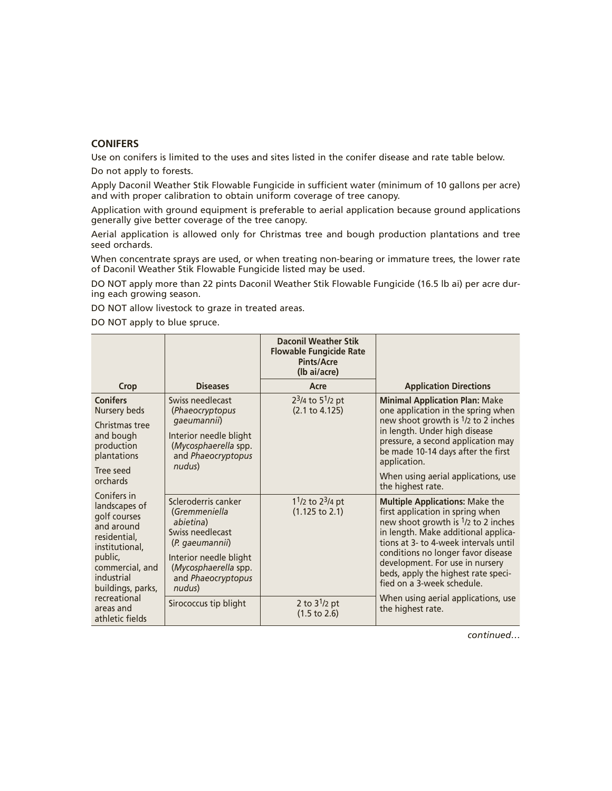#### **CONIFERS**

Use on conifers is limited to the uses and sites listed in the conifer disease and rate table below.

Do not apply to forests.

Apply Daconil Weather Stik Flowable Fungicide in sufficient water (minimum of 10 gallons per acre) and with proper calibration to obtain uniform coverage of tree canopy.

Application with ground equipment is preferable to aerial application because ground applications generally give better coverage of the tree canopy.

Aerial application is allowed only for Christmas tree and bough production plantations and tree seed orchards.

When concentrate sprays are used, or when treating non-bearing or immature trees, the lower rate of Daconil Weather Stik Flowable Fungicide listed may be used.

DO NOT apply more than 22 pints Daconil Weather Stik Flowable Fungicide (16.5 lb ai) per acre during each growing season.

DO NOT allow livestock to graze in treated areas.

DO NOT apply to blue spruce.

|                                                                                                                                                                                                               |                                                                                                                                                                            | <b>Daconil Weather Stik</b><br><b>Flowable Fungicide Rate</b><br><b>Pints/Acre</b><br>(Ib ai/acre) |                                                                                                                                                                                                                                                                                                                                                             |
|---------------------------------------------------------------------------------------------------------------------------------------------------------------------------------------------------------------|----------------------------------------------------------------------------------------------------------------------------------------------------------------------------|----------------------------------------------------------------------------------------------------|-------------------------------------------------------------------------------------------------------------------------------------------------------------------------------------------------------------------------------------------------------------------------------------------------------------------------------------------------------------|
| Crop                                                                                                                                                                                                          | <b>Diseases</b>                                                                                                                                                            | Acre                                                                                               | <b>Application Directions</b>                                                                                                                                                                                                                                                                                                                               |
| <b>Conifers</b><br>Nursery beds<br>Christmas tree<br>and bough<br>production<br>plantations                                                                                                                   | Swiss needlecast<br>(Phaeocryptopus<br>gaeumannii)<br>Interior needle blight<br>(Mycosphaerella spp.<br>and Phaeocryptopus                                                 | $23/4$ to 5 <sup>1</sup> /2 pt<br>(2.1 to 4.125)                                                   | <b>Minimal Application Plan: Make</b><br>one application in the spring when<br>new shoot growth is <sup>1</sup> /2 to 2 inches<br>in length. Under high disease<br>pressure, a second application may<br>be made 10-14 days after the first<br>application.                                                                                                 |
| Tree seed<br>orchards                                                                                                                                                                                         | nudus)                                                                                                                                                                     |                                                                                                    | When using aerial applications, use<br>the highest rate.                                                                                                                                                                                                                                                                                                    |
| Conifers in<br>landscapes of<br>golf courses<br>and around<br>residential,<br>institutional,<br>public,<br>commercial, and<br>industrial<br>buildings, parks,<br>recreational<br>areas and<br>athletic fields | Scleroderris canker<br>(Gremmeniella<br>abietina)<br>Swiss needlecast<br>(P. gaeumannii)<br>Interior needle blight<br>(Mycosphaerella spp.<br>and Phaeocryptopus<br>nudus) | $11/2$ to $23/4$ pt<br>$(1.125 \text{ to } 2.1)$                                                   | <b>Multiple Applications: Make the</b><br>first application in spring when<br>new shoot growth is <sup>1</sup> /2 to 2 inches<br>in length. Make additional applica-<br>tions at 3- to 4-week intervals until<br>conditions no longer favor disease<br>development. For use in nursery<br>beds, apply the highest rate speci-<br>fied on a 3-week schedule. |
|                                                                                                                                                                                                               | Sirococcus tip blight                                                                                                                                                      | 2 to $3^{1}/2$ pt<br>$(1.5 \text{ to } 2.6)$                                                       | When using aerial applications, use<br>the highest rate.                                                                                                                                                                                                                                                                                                    |

*continued…*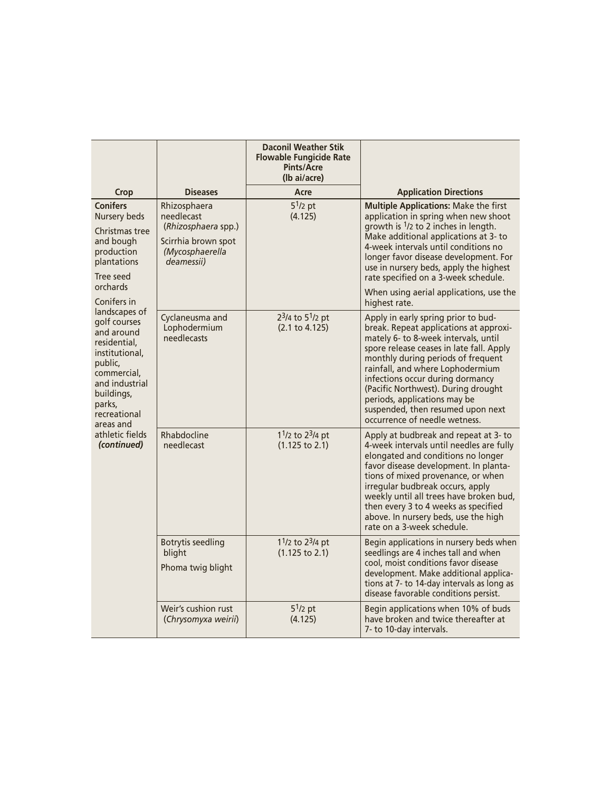|                                                                                                                                                                                                                                                                                                                                                         |                                                                                                           | <b>Daconil Weather Stik</b><br><b>Flowable Fungicide Rate</b><br><b>Pints/Acre</b><br>(lb ai/acre) |                                                                                                                                                                                                                                                                                                                                                                                                                              |
|---------------------------------------------------------------------------------------------------------------------------------------------------------------------------------------------------------------------------------------------------------------------------------------------------------------------------------------------------------|-----------------------------------------------------------------------------------------------------------|----------------------------------------------------------------------------------------------------|------------------------------------------------------------------------------------------------------------------------------------------------------------------------------------------------------------------------------------------------------------------------------------------------------------------------------------------------------------------------------------------------------------------------------|
| <b>Crop</b>                                                                                                                                                                                                                                                                                                                                             | <b>Diseases</b>                                                                                           | Acre                                                                                               | <b>Application Directions</b>                                                                                                                                                                                                                                                                                                                                                                                                |
| <b>Conifers</b><br>Nursery beds<br>Christmas tree<br>and bough<br>production<br>plantations<br>Tree seed<br>orchards<br>Conifers in<br>landscapes of<br>golf courses<br>and around<br>residential,<br>institutional,<br>public,<br>commercial,<br>and industrial<br>buildings,<br>parks,<br>recreational<br>areas and<br>athletic fields<br>(continued) | Rhizosphaera<br>needlecast<br>(Rhizosphaera spp.)<br>Scirrhia brown spot<br>(Mycosphaerella<br>deamessii) | $5^{1/2}$ pt<br>(4.125)                                                                            | <b>Multiple Applications: Make the first</b><br>application in spring when new shoot<br>growth is $1/2$ to 2 inches in length.<br>Make additional applications at 3- to<br>4-week intervals until conditions no<br>longer favor disease development. For<br>use in nursery beds, apply the highest<br>rate specified on a 3-week schedule.<br>When using aerial applications, use the<br>highest rate.                       |
|                                                                                                                                                                                                                                                                                                                                                         | Cyclaneusma and<br>Lophodermium<br>needlecasts                                                            | $23/4$ to $51/2$ pt<br>(2.1 to 4.125)                                                              | Apply in early spring prior to bud-<br>break. Repeat applications at approxi-<br>mately 6- to 8-week intervals, until<br>spore release ceases in late fall. Apply<br>monthly during periods of frequent<br>rainfall, and where Lophodermium<br>infections occur during dormancy<br>(Pacific Northwest). During drought<br>periods, applications may be<br>suspended, then resumed upon next<br>occurrence of needle wetness. |
|                                                                                                                                                                                                                                                                                                                                                         | Rhabdocline<br>needlecast                                                                                 | $11/2$ to $23/4$ pt<br>$(1.125 \text{ to } 2.1)$                                                   | Apply at budbreak and repeat at 3- to<br>4-week intervals until needles are fully<br>elongated and conditions no longer<br>favor disease development. In planta-<br>tions of mixed provenance, or when<br>irregular budbreak occurs, apply<br>weekly until all trees have broken bud,<br>then every 3 to 4 weeks as specified<br>above. In nursery beds, use the high<br>rate on a 3-week schedule.                          |
|                                                                                                                                                                                                                                                                                                                                                         | <b>Botrytis seedling</b><br>blight<br>Phoma twig blight                                                   | $11/2$ to $23/4$ pt<br>$(1.125 \text{ to } 2.1)$                                                   | Begin applications in nursery beds when<br>seedlings are 4 inches tall and when<br>cool, moist conditions favor disease<br>development. Make additional applica-<br>tions at 7- to 14-day intervals as long as<br>disease favorable conditions persist.                                                                                                                                                                      |
|                                                                                                                                                                                                                                                                                                                                                         | Weir's cushion rust<br>(Chrysomyxa weirii)                                                                | $5^{1/2}$ pt<br>(4.125)                                                                            | Begin applications when 10% of buds<br>have broken and twice thereafter at<br>7- to 10-day intervals.                                                                                                                                                                                                                                                                                                                        |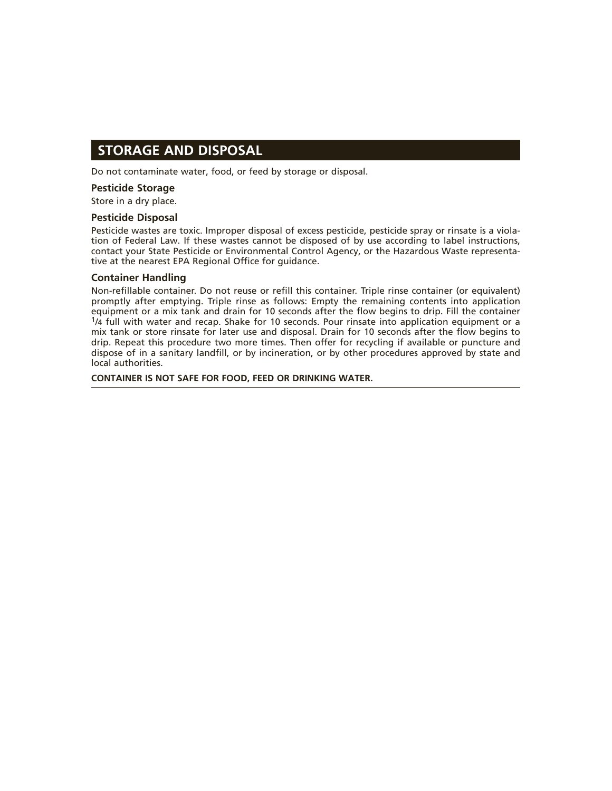### **STORAGE AND DISPOSAL**

Do not contaminate water, food, or feed by storage or disposal.

#### **Pesticide Storage**

Store in a dry place.

#### **Pesticide Disposal**

Pesticide wastes are toxic. Improper disposal of excess pesticide, pesticide spray or rinsate is a violation of Federal Law. If these wastes cannot be disposed of by use according to label instructions, contact your State Pesticide or Environmental Control Agency, or the Hazardous Waste representative at the nearest EPA Regional Office for guidance.

#### **Container Handling**

Non-refillable container. Do not reuse or refill this container. Triple rinse container (or equivalent) promptly after emptying. Triple rinse as follows: Empty the remaining contents into application equipment or a mix tank and drain for 10 seconds after the flow begins to drip. Fill the container 1/4 full with water and recap. Shake for 10 seconds. Pour rinsate into application equipment or a mix tank or store rinsate for later use and disposal. Drain for 10 seconds after the flow begins to drip. Repeat this procedure two more times. Then offer for recycling if available or puncture and dispose of in a sanitary landfill, or by incineration, or by other procedures approved by state and local authorities.

**CONTAINER IS NOT SAFE FOR FOOD, FEED OR DRINKING WATER.**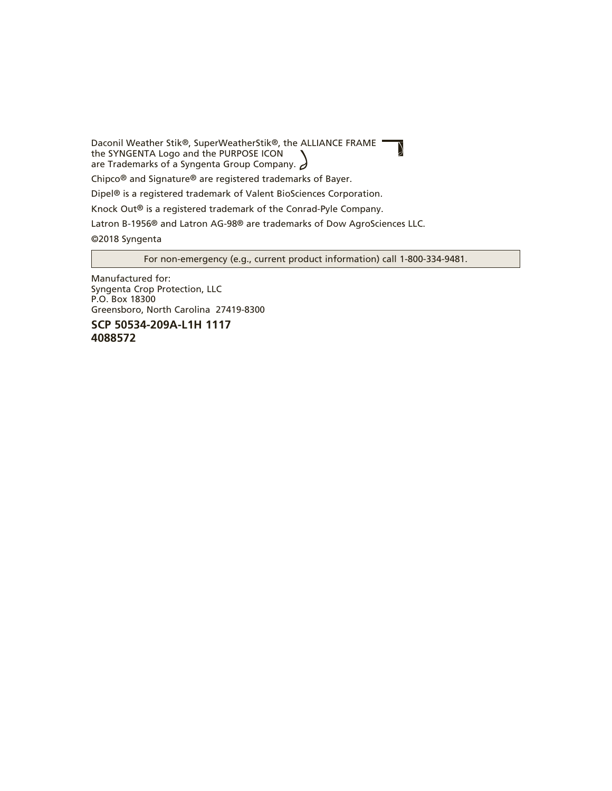Daconil Weather Stik®, SuperWeatherStik®, the ALLIANCE FRAME the SYNGENTA Logo and the PURPOSE ICON are Trademarks of a Syngenta Group Company.  $\partial$ 

Chipco® and Signature® are registered trademarks of Bayer.

Dipel® is a registered trademark of Valent BioSciences Corporation.

Knock Out® is a registered trademark of the Conrad-Pyle Company.

Latron B-1956® and Latron AG-98® are trademarks of Dow AgroSciences LLC.

©2018 Syngenta

For non-emergency (e.g., current product information) call 1-800-334-9481.

 $\overline{\mathcal{D}}$ 

Manufactured for: Syngenta Crop Protection, LLC P.O. Box 18300 Greensboro, North Carolina 27419-8300

**SCP 50534-209A-L1H 1117 4088572**